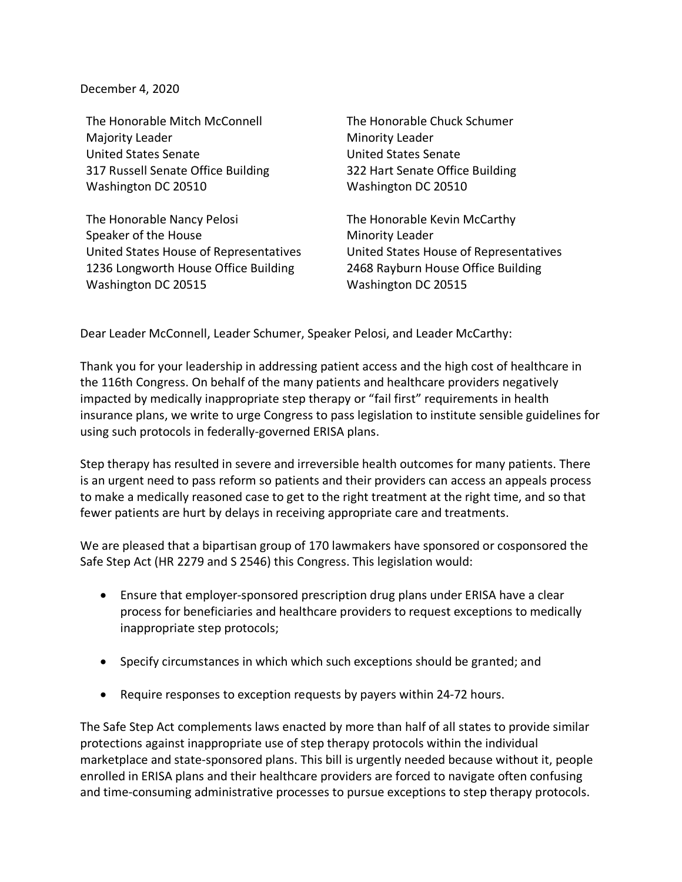December 4, 2020

The Honorable Mitch McConnell Majority Leader United States Senate 317 Russell Senate Office Building Washington DC 20510

The Honorable Nancy Pelosi Speaker of the House United States House of Representatives 1236 Longworth House Office Building Washington DC 20515

The Honorable Chuck Schumer Minority Leader United States Senate 322 Hart Senate Office Building Washington DC 20510

The Honorable Kevin McCarthy Minority Leader United States House of Representatives 2468 Rayburn House Office Building Washington DC 20515

Dear Leader McConnell, Leader Schumer, Speaker Pelosi, and Leader McCarthy:

Thank you for your leadership in addressing patient access and the high cost of healthcare in the 116th Congress. On behalf of the many patients and healthcare providers negatively impacted by medically inappropriate step therapy or "fail first" requirements in health insurance plans, we write to urge Congress to pass legislation to institute sensible guidelines for using such protocols in federally-governed ERISA plans.

Step therapy has resulted in severe and irreversible health outcomes for many patients. There is an urgent need to pass reform so patients and their providers can access an appeals process to make a medically reasoned case to get to the right treatment at the right time, and so that fewer patients are hurt by delays in receiving appropriate care and treatments.

We are pleased that a bipartisan group of 170 lawmakers have sponsored or cosponsored the Safe Step Act (HR 2279 and S 2546) this Congress. This legislation would:

- Ensure that employer-sponsored prescription drug plans under ERISA have a clear process for beneficiaries and healthcare providers to request exceptions to medically inappropriate step protocols;
- Specify circumstances in which which such exceptions should be granted; and
- Require responses to exception requests by payers within 24-72 hours.

The Safe Step Act complements laws enacted by more than half of all states to provide similar protections against inappropriate use of step therapy protocols within the individual marketplace and state-sponsored plans. This bill is urgently needed because without it, people enrolled in ERISA plans and their healthcare providers are forced to navigate often confusing and time-consuming administrative processes to pursue exceptions to step therapy protocols.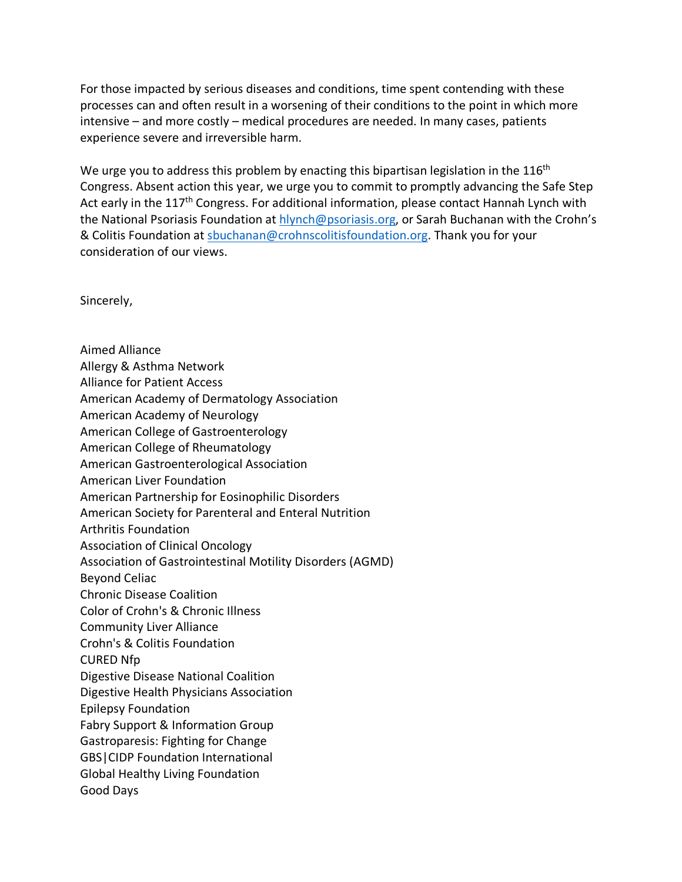For those impacted by serious diseases and conditions, time spent contending with these processes can and often result in a worsening of their conditions to the point in which more intensive – and more costly – medical procedures are needed. In many cases, patients experience severe and irreversible harm.

We urge you to address this problem by enacting this bipartisan legislation in the  $116<sup>th</sup>$ Congress. Absent action this year, we urge you to commit to promptly advancing the Safe Step Act early in the 117<sup>th</sup> Congress. For additional information, please contact Hannah Lynch with the National Psoriasis Foundation at hlynch@psoriasis.org, or Sarah Buchanan with the Crohn's & Colitis Foundation at sbuchanan@crohnscolitisfoundation.org. Thank you for your consideration of our views.

Sincerely,

Aimed Alliance Allergy & Asthma Network Alliance for Patient Access American Academy of Dermatology Association American Academy of Neurology American College of Gastroenterology American College of Rheumatology American Gastroenterological Association American Liver Foundation American Partnership for Eosinophilic Disorders American Society for Parenteral and Enteral Nutrition Arthritis Foundation Association of Clinical Oncology Association of Gastrointestinal Motility Disorders (AGMD) Beyond Celiac Chronic Disease Coalition Color of Crohn's & Chronic Illness Community Liver Alliance Crohn's & Colitis Foundation CURED Nfp Digestive Disease National Coalition Digestive Health Physicians Association Epilepsy Foundation Fabry Support & Information Group Gastroparesis: Fighting for Change GBS|CIDP Foundation International Global Healthy Living Foundation Good Days